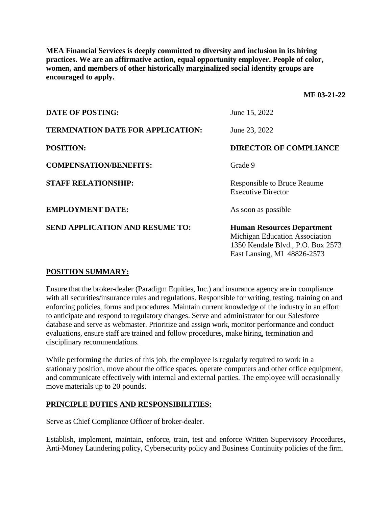**MEA Financial Services is deeply committed to diversity and inclusion in its hiring practices. We are an affirmative action, equal opportunity employer. People of color, women, and members of other historically marginalized social identity groups are encouraged to apply.**

**MF 03-21-22**

| <b>DATE OF POSTING:</b>                  | June 15, 2022                                                                                                                           |
|------------------------------------------|-----------------------------------------------------------------------------------------------------------------------------------------|
| <b>TERMINATION DATE FOR APPLICATION:</b> | June 23, 2022                                                                                                                           |
| <b>POSITION:</b>                         | <b>DIRECTOR OF COMPLIANCE</b>                                                                                                           |
| <b>COMPENSATION/BENEFITS:</b>            | Grade 9                                                                                                                                 |
| <b>STAFF RELATIONSHIP:</b>               | <b>Responsible to Bruce Reaume</b><br><b>Executive Director</b>                                                                         |
| <b>EMPLOYMENT DATE:</b>                  | As soon as possible                                                                                                                     |
| <b>SEND APPLICATION AND RESUME TO:</b>   | <b>Human Resources Department</b><br>Michigan Education Association<br>1350 Kendale Blvd., P.O. Box 2573<br>East Lansing, MI 48826-2573 |

## **POSITION SUMMARY:**

Ensure that the broker-dealer (Paradigm Equities, Inc.) and insurance agency are in compliance with all securities/insurance rules and regulations. Responsible for writing, testing, training on and enforcing policies, forms and procedures. Maintain current knowledge of the industry in an effort to anticipate and respond to regulatory changes. Serve and administrator for our Salesforce database and serve as webmaster. Prioritize and assign work, monitor performance and conduct evaluations, ensure staff are trained and follow procedures, make hiring, termination and disciplinary recommendations.

While performing the duties of this job, the employee is regularly required to work in a stationary position, move about the office spaces, operate computers and other office equipment, and communicate effectively with internal and external parties. The employee will occasionally move materials up to 20 pounds.

## **PRINCIPLE DUTIES AND RESPONSIBILITIES:**

Serve as Chief Compliance Officer of broker-dealer.

Establish, implement, maintain, enforce, train, test and enforce Written Supervisory Procedures, Anti-Money Laundering policy, Cybersecurity policy and Business Continuity policies of the firm.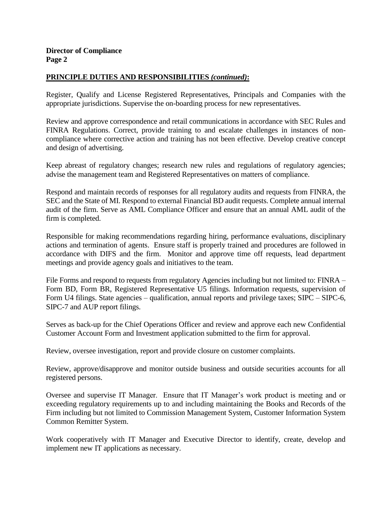## **PRINCIPLE DUTIES AND RESPONSIBILITIES** *(continued)***:**

Register, Qualify and License Registered Representatives, Principals and Companies with the appropriate jurisdictions. Supervise the on-boarding process for new representatives.

Review and approve correspondence and retail communications in accordance with SEC Rules and FINRA Regulations. Correct, provide training to and escalate challenges in instances of noncompliance where corrective action and training has not been effective. Develop creative concept and design of advertising.

Keep abreast of regulatory changes; research new rules and regulations of regulatory agencies; advise the management team and Registered Representatives on matters of compliance.

Respond and maintain records of responses for all regulatory audits and requests from FINRA, the SEC and the State of MI. Respond to external Financial BD audit requests. Complete annual internal audit of the firm. Serve as AML Compliance Officer and ensure that an annual AML audit of the firm is completed.

Responsible for making recommendations regarding hiring, performance evaluations, disciplinary actions and termination of agents. Ensure staff is properly trained and procedures are followed in accordance with DIFS and the firm. Monitor and approve time off requests, lead department meetings and provide agency goals and initiatives to the team.

File Forms and respond to requests from regulatory Agencies including but not limited to: FINRA – Form BD, Form BR, Registered Representative U5 filings. Information requests, supervision of Form U4 filings. State agencies – qualification, annual reports and privilege taxes; SIPC – SIPC-6, SIPC-7 and AUP report filings.

Serves as back-up for the Chief Operations Officer and review and approve each new Confidential Customer Account Form and Investment application submitted to the firm for approval.

Review, oversee investigation, report and provide closure on customer complaints.

Review, approve/disapprove and monitor outside business and outside securities accounts for all registered persons.

Oversee and supervise IT Manager. Ensure that IT Manager's work product is meeting and or exceeding regulatory requirements up to and including maintaining the Books and Records of the Firm including but not limited to Commission Management System, Customer Information System Common Remitter System.

Work cooperatively with IT Manager and Executive Director to identify, create, develop and implement new IT applications as necessary.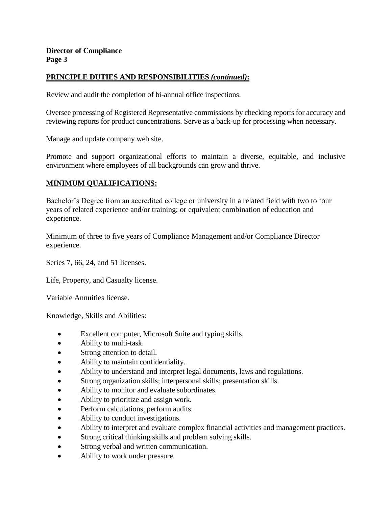## **PRINCIPLE DUTIES AND RESPONSIBILITIES** *(continued)***:**

Review and audit the completion of bi-annual office inspections.

Oversee processing of Registered Representative commissions by checking reports for accuracy and reviewing reports for product concentrations. Serve as a back-up for processing when necessary.

Manage and update company web site.

Promote and support organizational efforts to maintain a diverse, equitable, and inclusive environment where employees of all backgrounds can grow and thrive.

# **MINIMUM QUALIFICATIONS:**

Bachelor's Degree from an accredited college or university in a related field with two to four years of related experience and/or training; or equivalent combination of education and experience.

Minimum of three to five years of Compliance Management and/or Compliance Director experience.

Series 7, 66, 24, and 51 licenses.

Life, Property, and Casualty license.

Variable Annuities license.

Knowledge, Skills and Abilities:

- Excellent computer, Microsoft Suite and typing skills.
- Ability to multi-task.
- Strong attention to detail.
- Ability to maintain confidentiality.
- Ability to understand and interpret legal documents, laws and regulations.
- Strong organization skills; interpersonal skills; presentation skills.
- Ability to monitor and evaluate subordinates.
- Ability to prioritize and assign work.
- Perform calculations, perform audits.
- Ability to conduct investigations.
- Ability to interpret and evaluate complex financial activities and management practices.
- Strong critical thinking skills and problem solving skills.
- Strong verbal and written communication.
- Ability to work under pressure.